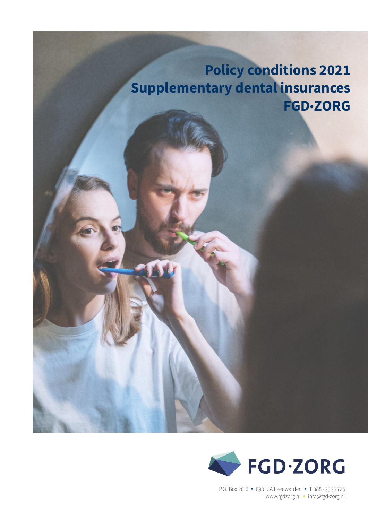# **Policy conditions 2021 Supplementary dental insurances FGD**•**ZORG**



P.O. Box 2010 • 8901 JA Leeuwarden • T 088 - 35 35 725 [www.fgdzorg.nl](http://fgdzorg.nl) • info@fgd-zorg.nl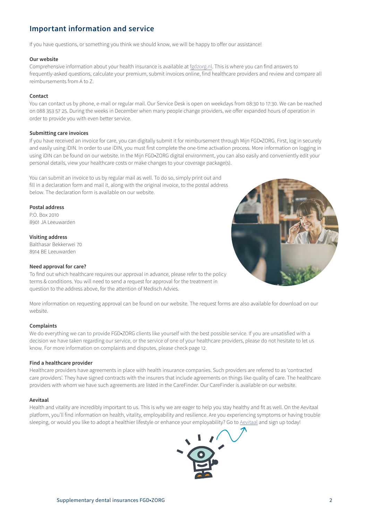# **Important information and service**

If you have questions, or something you think we should know, we will be happy to offer our assistance!

# **Our website**

Comprehensive information about your health insurance is available at [fgdzorg.nl](http://fgdzorg.nl). This is where you can find answers to frequently-asked questions, calculate your premium, submit invoices online, find healthcare providers and review and compare all reimbursements from A to Z.

# **Contact**

You can contact us by phone, e-mail or regular mail. Our Service Desk is open on weekdays from 08:30 to 17:30. We can be reached on 088 353 57 25. During the weeks in December when many people change providers, we offer expanded hours of operation in order to provide you with even better service.

#### **Submitting care invoices**

If you have received an invoice for care, you can digitally submit it for reimbursement through Mijn FGD•ZORG. First, log in securely and easily using iDIN. In order to use iDIN, you must first complete the one-time activation process. More information on logging in using iDIN can be found on our website. In the Mijn FGD•ZORG digital environment, you can also easily and conveniently edit your personal details, view your healthcare costs or make changes to your coverage package(s).

You can submit an invoice to us by regular mail as well. To do so, simply print out and fill in a declaration form and mail it, along with the original invoice, to the postal address below. The declaration form is available on our website.

**Postal address** P.O. Box 2010

8901 JA Leeuwarden

**Visiting address** Balthasar Bekkerwei 70 8914 BE Leeuwarden

# **Need approval for care?**

To find out which healthcare requires our approval in advance, please refer to the policy terms & conditions. You will need to send a request for approval for the treatment in question to the address above, for the attention of Medisch Advies.

More information on requesting approval can be found on our website. The request forms are also available for download on our website.

# **Complaints**

We do everything we can to provide FGD•ZORG clients like yourself with the best possible service. If you are unsatisfied with a decision we have taken regarding our service, or the service of one of your healthcare providers, please do not hesitate to let us know. For more information on complaints and disputes, please check page 12.

# **Find a healthcare provider**

Healthcare providers have agreements in place with health insurance companies. Such providers are referred to as 'contracted care providers'. They have signed contracts with the insurers that include agreements on things like quality of care. The healthcare providers with whom we have such agreements are listed in the CareFinder. Our CareFinder is available on our website.

# **Aevitaal**

Health and vitality are incredibly important to us. This is why we are eager to help you stay healthy and fit as well. On the Aevitaal platform, you'll find information on health, vitality, employability and resilience. Are you experiencing symptoms or having trouble sleeping, or would you like to adopt a healthier lifestyle or enhance your employability? Go to [Aevitaal](https://fitzme.nl/aevitae/company-home) and sign up today!

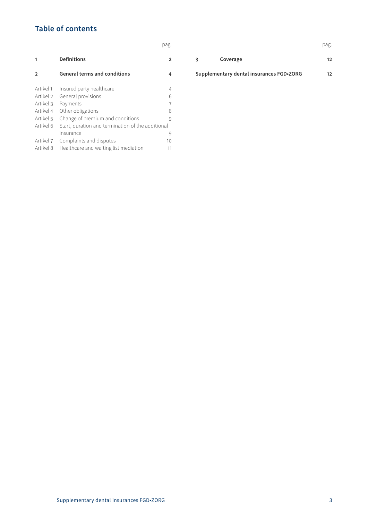# **Table of contents**

|                |                                                   | pag.           |   |                                          | pag. |
|----------------|---------------------------------------------------|----------------|---|------------------------------------------|------|
| 1              | <b>Definitions</b>                                | $\overline{2}$ | 3 | Coverage                                 | 12   |
| $\overline{2}$ | <b>General terms and conditions</b>               | 4              |   | Supplementary dental insurances FGD.ZORG | 12   |
| Artikel 1      | Insured party healthcare                          | 4              |   |                                          |      |
| Artikel 2      | General provisions                                | 6              |   |                                          |      |
| Artikel 3      | Payments                                          | 7              |   |                                          |      |
| Artikel 4      | Other obligations                                 | 8              |   |                                          |      |
| Artikel 5      | Change of premium and conditions                  | 9              |   |                                          |      |
| Artikel 6      | Start, duration and termination of the additional |                |   |                                          |      |
|                | insurance                                         | 9              |   |                                          |      |
| Artikel 7      | Complaints and disputes                           | 10             |   |                                          |      |
| Artikel 8      | Healthcare and waiting list mediation             | 11             |   |                                          |      |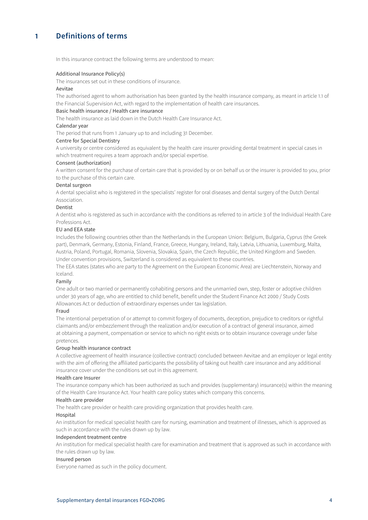# <span id="page-3-0"></span>**1 Definitions of terms**

In this insurance contract the following terms are understood to mean:

#### Additional Insurance Policy(s)

The insurances set out in these conditions of insurance.

### Aevitae

The authorised agent to whom authorisation has been granted by the health insurance company, as meant in article 1.1 of the Financial Supervision Act, with regard to the implementation of health care insurances.

# Basic health insurance / Health care insurance

The health insurance as laid down in the Dutch Health Care Insurance Act.

# Calendar year

The period that runs from 1 January up to and including 31 December.

# Centre for Special Dentistry

A university or centre considered as equivalent by the health care insurer providing dental treatment in special cases in which treatment requires a team approach and/or special expertise.

#### Consent (authorization)

A written consent for the purchase of certain care that is provided by or on behalf us or the insurer is provided to you, prior to the purchase of this certain care.

#### Dental surgeon

A dental specialist who is registered in the specialists' register for oral diseases and dental surgery of the Dutch Dental Association.

#### Dentist

A dentist who is registered as such in accordance with the conditions as referred to in article 3 of the Individual Health Care Professions Act.

# EU and EEA state

Includes the following countries other than the Netherlands in the European Union: Belgium, Bulgaria, Cyprus (the Greek part), Denmark, Germany, Estonia, Finland, France, Greece, Hungary, Ireland, Italy, Latvia, Lithuania, Luxemburg, Malta, Austria, Poland, Portugal, Romania, Slovenia, Slovakia, Spain, the Czech Republic, the United Kingdom and Sweden. Under convention provisions, Switzerland is considered as equivalent to these countries.

The EEA states (states who are party to the Agreement on the European Economic Area) are Liechtenstein, Norway and Iceland.

# Family

One adult or two married or permanently cohabiting persons and the unmarried own, step, foster or adoptive children under 30 years of age, who are entitled to child benefit, benefit under the Student Finance Act 2000 / Study Costs Allowances Act or deduction of extraordinary expenses under tax legislation.

#### Fraud

The intentional perpetration of or attempt to commit forgery of documents, deception, prejudice to creditors or rightful claimants and/or embezzlement through the realization and/or execution of a contract of general insurance, aimed at obtaining a payment, compensation or service to which no right exists or to obtain insurance coverage under false pretences.

#### Group health insurance contract

A collective agreement of health insurance (collective contract) concluded between Aevitae and an employer or legal entity with the aim of offering the affiliated participants the possibility of taking out health care insurance and any additional insurance cover under the conditions set out in this agreement.

# Health care Insurer

The insurance company which has been authorized as such and provides (supplementary) insurance(s) within the meaning of the Health Care Insurance Act. Your health care policy states which company this concerns.

#### Health care provider

The health care provider or health care providing organization that provides health care.

#### Hospital

An institution for medical specialist health care for nursing, examination and treatment of illnesses, which is approved as such in accordance with the rules drawn up by law.

#### Independent treatment centre

An institution for medical specialist health care for examination and treatment that is approved as such in accordance with the rules drawn up by law.

### Insured person

Everyone named as such in the policy document.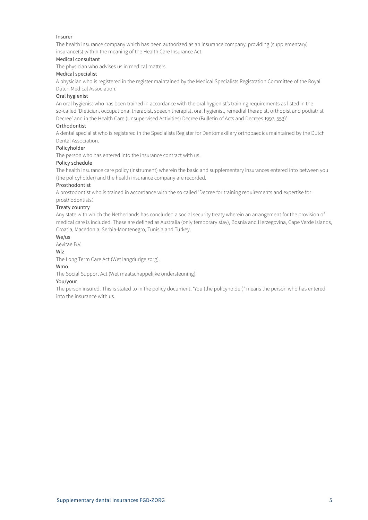# Insurer

The health insurance company which has been authorized as an insurance company, providing (supplementary) insurance(s) within the meaning of the Health Care Insurance Act.

# Medical consultant

The physician who advises us in medical matters.

### Medical specialist

A physician who is registered in the register maintained by the Medical Specialists Registration Committee of the Royal Dutch Medical Association.

#### Oral hygienist

An oral hygienist who has been trained in accordance with the oral hygienist's training requirements as listed in the so-called 'Dietician, occupational therapist, speech therapist, oral hygienist, remedial therapist, orthopist and podiatrist Decree' and in the Health Care (Unsupervised Activities) Decree (Bulletin of Acts and Decrees 1997, 553)'.

# Orthodontist

A dental specialist who is registered in the Specialists Register for Dentomaxillary orthopaedics maintained by the Dutch Dental Association.

# Policyholder

The person who has entered into the insurance contract with us.

#### Policy schedule

The health insurance care policy (instrument) wherein the basic and supplementary insurances entered into between you (the policyholder) and the health insurance company are recorded.

#### Prosthodontist

A prostodontist who is trained in accordance with the so called 'Decree for training requirements and expertise for prosthodontists'.

#### Treaty country

Any state with which the Netherlands has concluded a social security treaty wherein an arrangement for the provision of medical care is included. These are defined as Australia (only temporary stay), Bosnia and Herzegovina, Cape Verde Islands, Croatia, Macedonia, Serbia-Montenegro, Tunisia and Turkey.

#### We/us

Aevitae B.V.

# Wlz

The Long Term Care Act (Wet langdurige zorg).

# Wmo

The Social Support Act (Wet maatschappelijke ondersteuning).

#### You/your

The person insured. This is stated to in the policy document. 'You (the policyholder)' means the person who has entered into the insurance with us.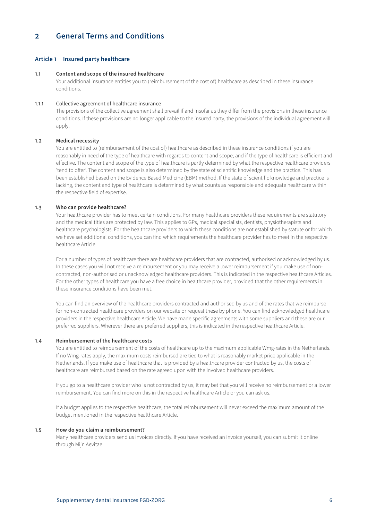# <span id="page-5-0"></span>**2 General Terms and Conditions**

# **Article 1 Insured party healthcare**

#### **1.1 Content and scope of the insured healthcare**

Your additional insurance entitles you to (reimbursement of the cost of) healthcare as described in these insurance conditions.

# 1.1.1 Collective agreement of healthcare insurance

The provisions of the collective agreement shall prevail if and insofar as they differ from the provisions in these insurance conditions. If these provisions are no longer applicable to the insured party, the provisions of the individual agreement will apply.

# **1.2 Medical necessity**

You are entitled to (reimbursement of the cost of) healthcare as described in these insurance conditions if you are reasonably in need of the type of healthcare with regards to content and scope; and if the type of healthcare is efficient and effective. The content and scope of the type of healthcare is partly determined by what the respective healthcare providers 'tend to offer'. The content and scope is also determined by the state of scientific knowledge and the practice. This has been established based on the Evidence Based Medicine (EBM) method. If the state of scientific knowledge and practice is lacking, the content and type of healthcare is determined by what counts as responsible and adequate healthcare within the respective field of expertise.

# **1.3 Who can provide healthcare?**

Your healthcare provider has to meet certain conditions. For many healthcare providers these requirements are statutory and the medical titles are protected by law. This applies to GPs, medical specialists, dentists, physiotherapists and healthcare psychologists. For the healthcare providers to which these conditions are not established by statute or for which we have set additional conditions, you can find which requirements the healthcare provider has to meet in the respective healthcare Article.

For a number of types of healthcare there are healthcare providers that are contracted, authorised or acknowledged by us. In these cases you will not receive a reimbursement or you may receive a lower reimbursement if you make use of noncontracted, non-authorised or unacknowledged healthcare providers. This is indicated in the respective healthcare Articles. For the other types of healthcare you have a free choice in healthcare provider, provided that the other requirements in these insurance conditions have been met.

You can find an overview of the healthcare providers contracted and authorised by us and of the rates that we reimburse for non-contracted healthcare providers on our website or request these by phone. You can find acknowledged healthcare providers in the respective healthcare Article. We have made specific agreements with some suppliers and these are our preferred suppliers. Wherever there are preferred suppliers, this is indicated in the respective healthcare Article.

# **1.4 Reimbursement of the healthcare costs**

You are entitled to reimbursement of the costs of healthcare up to the maximum applicable Wmg-rates in the Netherlands. If no Wmg-rates apply, the maximum costs reimbursed are tied to what is reasonably market price applicable in the Netherlands. If you make use of healthcare that is provided by a healthcare provider contracted by us, the costs of healthcare are reimbursed based on the rate agreed upon with the involved healthcare providers.

If you go to a healthcare provider who is not contracted by us, it may bet that you will receive no reimbursement or a lower reimbursement. You can find more on this in the respective healthcare Article or you can ask us.

If a budget applies to the respective healthcare, the total reimbursement will never exceed the maximum amount of the budget mentioned in the respective healthcare Article.

#### **1.5 How do you claim a reimbursement?**

Many healthcare providers send us invoices directly. If you have received an invoice yourself, you can submit it online through Mijn Aevitae.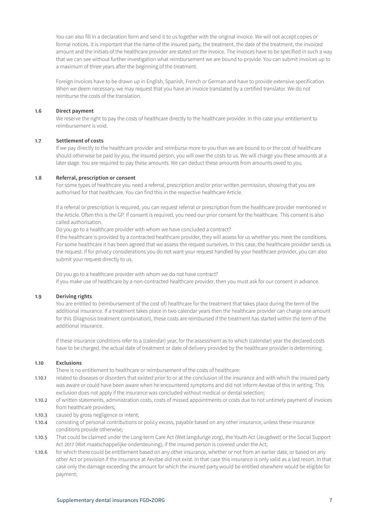You can also fill in a declaration form and send it to us together with the original invoice. We will not accept copies or formal notices. It is important that the name of the insured party, the treatment, the date of the treatment, the invoiced amount and the initials of the healthcare provider are stated on the invoice. The invoices have to be specified in such a way that we can see without further investigation what reimbursement we are bound to provide. You can submit invoices up to a maximum of three years after the beginning of the treatment.

Foreign invoices have to be drawn up in English, Spanish, French or German and have to provide extensive specification. When we deem necessary, we may request that you have an invoice translated by a certified translator. We do not reimburse the costs of the translation.

# **1.6 Direct payment**

We reserve the right to pay the costs of healthcare directly to the healthcare provider. In this case your entitlement to reimbursement is void.

# **1.7 Settlement of costs**

If we pay directly to the healthcare provider and reimburse more to you than we are bound to or the cost of healthcare should otherwise be paid by you, the insured person, you will owe the costs to us. We will charge you these amounts at a later stage. You are required to pay these amounts. We can deduct these amounts from amounts owed to you.

#### **1.8 Referral, prescription or consent**

For some types of healthcare you need a referral, prescription and/or prior written permission, showing that you are authorised for that healthcare. You can find this in the respective healthcare Article.

If a referral or prescription is required, you can request referral or prescription from the healthcare provider mentioned in the Article. Often this is the GP. If consent is required, you need our prior consent for the healthcare. This consent is also called authorisation.

Do you go to a healthcare provider with whom we have concluded a contract?

If the healthcare is provided by a contracted healthcare provider, they will assess for us whether you meet the conditions. For some healthcare it has been agreed that we assess the request ourselves. In this case, the healthcare provider sends us the request. If for privacy considerations you do not want your request handled by your healthcare provider, you can also submit your request directly to us.

Do you go to a healthcare provider with whom we do not have contract? If you make use of healthcare by a non-contracted healthcare provider, then you must ask for our consent in advance.

# **1.9 Deriving rights**

You are entitled to (reimbursement of the cost of) healthcare for the treatment that takes place during the term of the additional insurance. If a treatment takes place in two calendar years then the healthcare provider can charge one amount for this (Diagnosis treatment combination), these costs are reimbursed if the treatment has started within the term of the additional insurance.

If these insurance conditions refer to a (calendar) year, for the assessment as to which (calendar) year the declared costs have to be charged, the actual date of treatment or date of delivery provided by the healthcare provider is determining.

# **1.10 Exclusions**

There is no entitlement to healthcare or reimbursement of the costs of healthcare:

- 1.10.1 related to diseases or disorders that existed prior to or at the conclusion of the insurance and with which the insured party was aware or could have been aware when he encountered symptoms and did not inform Aevitae of this in writing. This exclusion does not apply if the insurance was concluded without medical or dental selection;
- 1.10.2 of written statements, administration costs, costs of missed appointments or costs due to not untimely payment of invoices from healthcare providers;
- 1.10.3 caused by gross negligence or intent;
- 1.10.4 consisting of personal contributions or policy excess, payable based on any other insurance, unless these insurance conditions provide otherwise;
- 1.10.5 That could be claimed under the Long-term Care Act (Wet langdurige zorg), the Youth Act (Jeugdwet) or the Social Support Act 2017 (Wet maatschappelijke ondersteuning), if the insured person is covered under the Act;
- 1.10.6 for which there could be entitlement based on any other insurance, whether or not from an earlier date, or based on any other Act or provision if the insurance at Aevitae did not exist. In that case this insurance is only valid as a last resort. In that case only the damage exceeding the amount for which the insured party would be entitled elsewhere would be eligible for payment;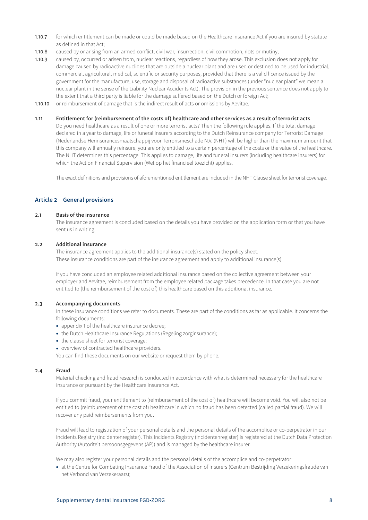- <span id="page-7-0"></span>1.10.7 for which entitlement can be made or could be made based on the Healthcare Insurance Act if you are insured by statute as defined in that Act;
- 1.10.8 caused by or arising from an armed conflict, civil war, insurrection, civil commotion, riots or mutiny;
- 1.10.9 caused by, occurred or arisen from, nuclear reactions, regardless of how they arose. This exclusion does not apply for damage caused by radioactive nuclides that are outside a nuclear plant and are used or destined to be used for industrial, commercial, agricultural, medical, scientific or security purposes, provided that there is a valid licence issued by the government for the manufacture, use, storage and disposal of radioactive substances (under "nuclear plant" we mean a nuclear plant in the sense of the Liability Nuclear Accidents Act). The provision in the previous sentence does not apply to the extent that a third party is liable for the damage suffered based on the Dutch or foreign Act;
- 1.10.10 or reimbursement of damage that is the indirect result of acts or omissions by Aevitae.

# **1.11 Entitlement for (reimbursement of the costs of) healthcare and other services as a result of terrorist acts**

Do you need healthcare as a result of one or more terrorist acts? Then the following rule applies. If the total damage declared in a year to damage, life or funeral insurers according to the Dutch Reinsurance company for Terrorist Damage (Nederlandse Herinsurancesmaatschappij voor Terrorismeschade N.V. (NHT) will be higher than the maximum amount that this company will annually reinsure, you are only entitled to a certain percentage of the costs or the value of the healthcare. The NHT determines this percentage. This applies to damage, life and funeral insurers (including healthcare insurers) for which the Act on Financial Supervision (Wet op het financieel toezicht) applies.

The exact definitions and provisions of aforementioned entitlement are included in the NHT Clause sheet for terrorist coverage.

# **Article 2 General provisions**

#### **2.1 Basis of the insurance**

The insurance agreement is concluded based on the details you have provided on the application form or that you have sent us in writing.

#### **2.2 Additional insurance**

The insurance agreement applies to the additional insurance(s) stated on the policy sheet. These insurance conditions are part of the insurance agreement and apply to additional insurance(s).

If you have concluded an employee related additional insurance based on the collective agreement between your employer and Aevitae, reimbursement from the employee related package takes precedence. In that case you are not entitled to (the reimbursement of the cost of) this healthcare based on this additional insurance.

# **2.3 Accompanying documents**

In these insurance conditions we refer to documents. These are part of the conditions as far as applicable. It concerns the following documents:

- appendix 1 of the healthcare insurance decree;
- the Dutch Healthcare Insurance Regulations (Regeling zorginsurance);
- the clause sheet for terrorist coverage;
- overview of contracted healthcare providers.

You can find these documents on our website or request them by phone.

#### **2.4 Fraud**

Material checking and fraud research is conducted in accordance with what is determined necessary for the healthcare insurance or pursuant by the Healthcare Insurance Act.

If you commit fraud, your entitlement to (reimbursement of the cost of) healthcare will become void. You will also not be entitled to (reimbursement of the cost of) healthcare in which no fraud has been detected (called partial fraud). We will recover any paid reimbursements from you.

Fraud will lead to registration of your personal details and the personal details of the accomplice or co-perpetrator in our Incidents Registry (Incidentenregister). This Incidents Registry (Incidentenregister) is registered at the Dutch Data Protection Authority (Autoriteit persoonsgegevens (AP)) and is managed by the healthcare insurer.

We may also register your personal details and the personal details of the accomplice and co-perpetrator:

• at the Centre for Combating Insurance Fraud of the Association of Insurers (Centrum Bestrijding Verzekeringsfraude van het Verbond van Verzekeraars);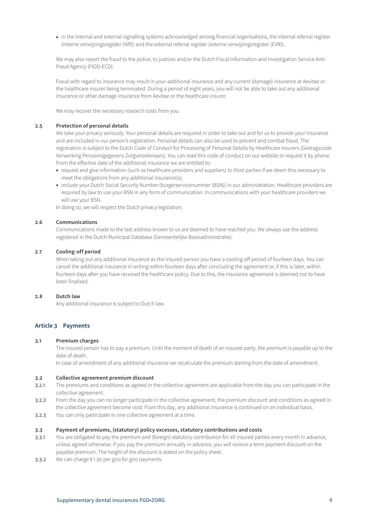<span id="page-8-0"></span>• in the internal and external signalling systems acknowledged among financial organisations, the internal referral register (interne verwijzingsregister (IVR)) and the external referral register (externe verwijzingsregister (EVR)).

We may also report the fraud to the police, to justices and/or the Dutch Fiscal Information and Investigation Service Anti-Fraud Agency (FIOD-ECD).

Fraud with regard to insurance may result in your additional insurance and any current (damage) insurance at Aevitae or the healthcare insurer being terminated. During a period of eight years, you will not be able to take out any additional insurance or other damage insurance from Aevitae or the healthcare insurer.

We may recover the necessary research costs from you.

#### **2.5 Protection of personal details**

We take your privacy seriously. Your personal details are required in order to take out and for us to provide your insurance and are included in our person's registration. Personal details can also be used to prevent and combat fraud. The registration is subject to the Dutch Code of Conduct for Processing of Personal Details by Healthcare Insurers (Gedragscode Verwerking Persoonsgegevens Zorgverzekeraars). You can read this code of conduct on our website or request it by phone. From the effective date of the additional insurance we are entitled to:

- request and give information (such as healthcare providers and suppliers) to third parties if we deem this necessary to meet the obligations from any additional insurance(s);
- include your Dutch Social Security Number (burgerservicenummer (BSN)) in our administration. Healthcare providers are required by law to use your BSN in any form of communication. In communications with your healthcare providers we will use your BSN.

In doing so, we will respect the Dutch privacy legislation.

#### **2.6 Communications**

Communications made to the last address known to us are deemed to have reached you. We always use the address registered in the Dutch Municipal Database (Gemeentelijke Basisadministratie).

### **2.7 Cooling-off period**

When taking out any additional insurance as the insured person you have a cooling-off period of fourteen days. You can cancel the additional insurance in writing within fourteen days after concluding the agreement or, if this is later, within fourteen days after you have received the healthcare policy. Due to this, the insurance agreement is deemed not to have been finalised.

#### **2.8 Dutch law**

Any additional insurance is subject to Dutch law.

# **Article 3 Payments**

# **3.1 Premium charges**

The insured person has to pay a premium. Until the moment of death of an insured party, the premium is payable up to the date of death.

In case of amendment of any additional insurance we recalculate the premium starting from the date of amendment.

#### **3.2 Collective agreement premium discount**

- 3.2.1 The premiums and conditions as agreed in the collective agreement are applicable from the day you can participate in the collective agreement.
- 3.2.2 From the day you can no longer participate in the collective agreement, the premium discount and conditions as agreed in the collective agreement become void. From this day, any additional insurance is continued on an individual basis.
- 3.2.3 You can only participate in one collective agreement at a time.

#### **3.3 Payment of premiums, (statutory) policy excesses, statutory contributions and costs**

- 3.3.1 You are obligated to pay the premium and (foreign) statutory contribution for all insured parties every month in advance, unless agreed otherwise. If you pay the premium annually in advance, you will receive a term payment discount on the payable premium. The height of the discount is stated on the policy sheet.
- 3.3.2 We can charge € 1.50 per giro for giro payments.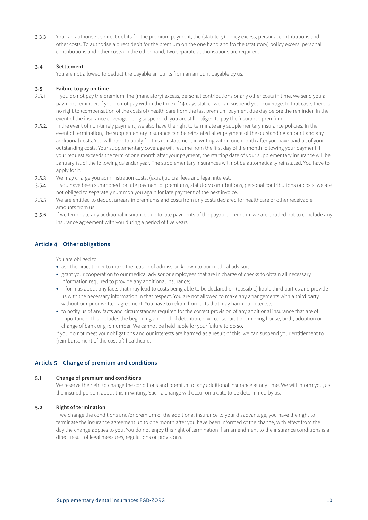<span id="page-9-0"></span>3.3.3 You can authorise us direct debits for the premium payment, the (statutory) policy excess, personal contributions and other costs. To authorise a direct debit for the premium on the one hand and fro the (statutory) policy excess, personal contributions and other costs on the other hand, two separate authorisations are required.

# **3.4 Settlement**

You are not allowed to deduct the payable amounts from an amount payable by us.

# **3.5 Failure to pay on time**

- 3.5.1 If you do not pay the premium, the (mandatory) excess, personal contributions or any other costs in time, we send you a payment reminder. If you do not pay within the time of 14 days stated, we can suspend your coverage. In that case, there is no right to (compensation of the costs of) health care from the last premium payment due day before the reminder. In the event of the insurance coverage being suspended, you are still obliged to pay the insurance premium.
- 3.5.2. In the event of non-timely payment, we also have the right to terminate any supplementary insurance policies. In the event of termination, the supplementary insurance can be reinstated after payment of the outstanding amount and any additional costs. You will have to apply for this reinstatement in writing within one month after you have paid all of your outstanding costs. Your supplementary coverage will resume from the first day of the month following your payment. If your request exceeds the term of one month after your payment, the starting date of your supplementary insurance will be January 1st of the following calendar year. The supplementary insurances will not be automatically reinstated. You have to apply for it.
- 3.5.3 We may charge you administration costs, (extra)judicial fees and legal interest.
- 3.5.4 If you have been summoned for late payment of premiums, statutory contributions, personal contributions or costs, we are not obliged to separately summon you again for late payment of the next invoice.
- 3.5.5 We are entitled to deduct arrears in premiums and costs from any costs declared for healthcare or other receivable amounts from us.
- 3.5.6 If we terminate any additional insurance due to late payments of the payable premium, we are entitled not to conclude any insurance agreement with you during a period of five years.

# **Article 4 Other obligations**

You are obliged to:

- ask the practitioner to make the reason of admission known to our medical advisor;
- grant your cooperation to our medical advisor or employees that are in charge of checks to obtain all necessary information required to provide any additional insurance;
- inform us about any facts that may lead to costs being able to be declared on (possible) liable third parties and provide us with the necessary information in that respect. You are not allowed to make any arrangements with a third party without our prior written agreement. You have to refrain from acts that may harm our interests;
- to notify us of any facts and circumstances required for the correct provision of any additional insurance that are of importance. This includes the beginning and end of detention, divorce, separation, moving house, birth, adoption or change of bank or giro number. We cannot be held liable for your failure to do so.

If you do not meet your obligations and our interests are harmed as a result of this, we can suspend your entitlement to (reimbursement of the cost of) healthcare.

# **Article 5 Change of premium and conditions**

# **5.1 Change of premium and conditions**

We reserve the right to change the conditions and premium of any additional insurance at any time. We will inform you, as the insured person, about this in writing. Such a change will occur on a date to be determined by us.

# **5.2 Right of termination**

If we change the conditions and/or premium of the additional insurance to your disadvantage, you have the right to terminate the insurance agreement up to one month after you have been informed of the change, with effect from the day the change applies to you. You do not enjoy this right of termination if an amendment to the insurance conditions is a direct result of legal measures, regulations or provisions.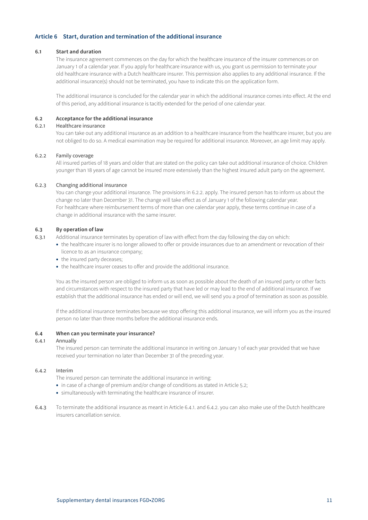# <span id="page-10-0"></span>**Article 6 Start, duration and termination of the additional insurance**

# **6.1 Start and duration**

The insurance agreement commences on the day for which the healthcare insurance of the insurer commences or on January 1 of a calendar year. If you apply for healthcare insurance with us, you grant us permission to terminate your old healthcare insurance with a Dutch healthcare insurer. This permission also applies to any additional insurance. If the additional insurance(s) should not be terminated, you have to indicate this on the application form.

The additional insurance is concluded for the calendar year in which the additional insurance comes into effect. At the end of this period, any additional insurance is tacitly extended for the period of one calendar year.

# **6.2 Acceptance for the additional insurance**

# 6.2.1 Healthcare insurance

You can take out any additional insurance as an addition to a healthcare insurance from the healthcare insurer, but you are not obliged to do so. A medical examination may be required for additional insurance. Moreover, an age limit may apply.

# 6.2.2 Family coverage

All insured parties of 18 years and older that are stated on the policy can take out additional insurance of choice. Children younger than 18 years of age cannot be insured more extensively than the highest insured adult party on the agreement.

# 6.2.3 Changing additional insurance

You can change your additional insurance. The provisions in 6.2.2. apply. The insured person has to inform us about the change no later than December 31. The change will take effect as of January 1 of the following calendar year. For healthcare where reimbursement terms of more than one calendar year apply, these terms continue in case of a change in additional insurance with the same insurer.

# **6.3 By operation of law**

6.3.1 Additional insurance terminates by operation of law with effect from the day following the day on which:

- the healthcare insurer is no longer allowed to offer or provide insurances due to an amendment or revocation of their licence to as an insurance company;
- the insured party deceases;
- the healthcare insurer ceases to offer and provide the additional insurance.

You as the insured person are obliged to inform us as soon as possible about the death of an insured party or other facts and circumstances with respect to the insured party that have led or may lead to the end of additional insurance. If we establish that the additional insurance has ended or will end, we will send you a proof of termination as soon as possible.

If the additional insurance terminates because we stop offering this additional insurance, we will inform you as the insured person no later than three months before the additional insurance ends.

# **6.4 When can you terminate your insurance?**

# 6.4.1 Annually

The insured person can terminate the additional insurance in writing on January 1 of each year provided that we have received your termination no later than December 31 of the preceding year.

# 6.4.2 Interim

The insured person can terminate the additional insurance in writing:

- in case of a change of premium and/or change of conditions as stated in Article 5.2;
- simultaneously with terminating the healthcare insurance of insurer.
- 6.4.3 To terminate the additional insurance as meant in Article 6.4.1. and 6.4.2. you can also make use of the Dutch healthcare insurers cancellation service.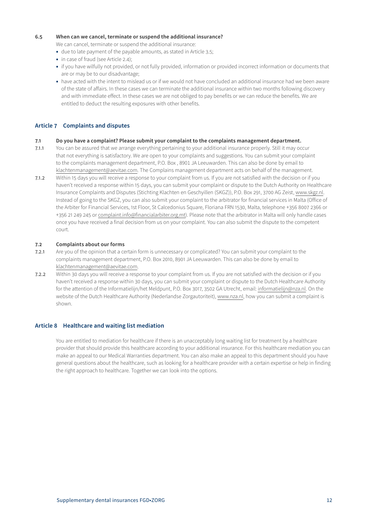# <span id="page-11-0"></span>**6.5 When can we cancel, terminate or suspend the additional insurance?**

We can cancel, terminate or suspend the additional insurance:

- due to late payment of the payable amounts, as stated in Article 3.5;
- in case of fraud (see Article 2.4);
- if you have wilfully not provided, or not fully provided, information or provided incorrect information or documents that are or may be to our disadvantage;
- have acted with the intent to mislead us or if we would not have concluded an additional insurance had we been aware of the state of affairs. In these cases we can terminate the additional insurance within two months following discovery and with immediate effect. In these cases we are not obliged to pay benefits or we can reduce the benefits. We are entitled to deduct the resulting exposures with other benefits.

# **Article 7 Complaints and disputes**

### **7.1 Do you have a complaint? Please submit your complaint to the complaints management department.**

- 7.1.1 You can be assured that we arrange everything pertaining to your additional insurance properly. Still it may occur that not everything is satisfactory. We are open to your complaints and suggestions. You can submit your complaint to the complaints management department, P.O. Box , 8901 JA Leeuwarden. This can also be done by email to klachtenmanagement@aevitae.com. The Complains management department acts on behalf of the management.
- 7.1.2 Within 15 days you will receive a response to your complaint from us. If you are not satisfied with the decision or if you haven't received a response within 15 days, you can submit your complaint or dispute to the Dutch Authority on Healthcare Insurance Complaints and Disputes (Stichting Klachten en Geschyillen (SKGZ)), P.O. Box 291, 3700 AG Zeist, www.skgz.nl. Instead of going to the SKGZ, you can also submit your complaint to the arbitrator for financial services in Malta (Office of the Arbiter for Financial Services, 1st Floor, St Calcedonius Square, Floriana FRN 1530, Malta, telephone +356 8007 2366 or +356 21 249 245 or complaint.info@financialarbiter.org.mt). Please note that the arbitrator in Malta will only handle cases once you have received a final decision from us on your complaint. You can also submit the dispute to the competent court.

# **7.2 Complaints about our forms**

- 7.2.1 Are you of the opinion that a certain form is unnecessary or complicated? You can submit your complaint to the complaints management department, P.O. Box 2010, 8901 JA Leeuwarden. This can also be done by email to klachtenmanagement@aevitae.com.
- 7.2.2 Within 30 days you will receive a response to your complaint from us. If you are not satisfied with the decision or if you haven't received a response within 30 days, you can submit your complaint or dispute to the Dutch Healthcare Authority for the attention of the Informatielijn/het Meldpunt, P.O. Box 3017, 3502 GA Utrecht, email: informatielijn@nza.nl. On the website of the Dutch Healthcare Authority (Nederlandse Zorgautoriteit), www.nza.nl, how you can submit a complaint is shown.

# **Article 8 Healthcare and waiting list mediation**

You are entitled to mediation for healthcare if there is an unacceptably long waiting list for treatment by a healthcare provider that should provide this healthcare according to your additional insurance. For this healthcare mediation you can make an appeal to our Medical Warranties department. You can also make an appeal to this department should you have general questions about the healthcare, such as looking for a healthcare provider with a certain expertise or help in finding the right approach to healthcare. Together we can look into the options.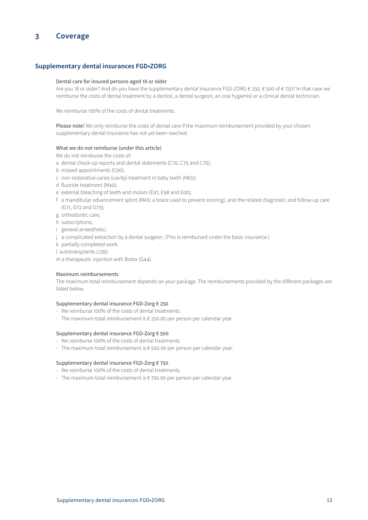# <span id="page-12-0"></span>**3 Coverage**

# **Supplementary dental insurances FGD•ZORG**

#### Dental care for insured persons aged 18 or older

Are you 18 or older? And do you have the supplementary dental insurance FGD-ZORG € 250, € 500 of € 750? In that case we reimburse the costs of dental treatment by a dentist, a dental surgeon, an oral hygienist or a clinical dental technician.

We reimburse 100% of the costs of dental treatments.

Please note! We only reimburse the costs of dental care if the maximum reimbursement provided by your chosen supplementary dental Insurance has not yet been reached.

# What we do not reimburse (under this article)

We do not reimburse the costs of:

- a dental check-up reports and dental statements (C70, C75 and C76);
- b missed appointments (C90);
- c non-restorative caries (cavity) treatment in baby teeth (M05);
- d fluoride treatment (M40);
- e external bleaching of teeth and molars (E97, E98 and E00);
- f a mandibular advancement splint (MAS: a brace used to prevent snoring), and the related diagnostic and follow-up care (G71, G72 and G73);
- g orthodontic care;
- h subscriptions;
- i general anaesthetic;
- j a complicated extraction by a dental surgeon. (This is reimbursed under the basic insurance.)
- k partially completed work.
- l autotransplants (J39);

m a therapeutic injection with Botox (G44).

#### Maximum reimbursements

The maximum total reimbursement depends on your package. The reimbursements provided by the different packages are listed below.

#### Supplementary dental insurance FGD-Zorg € 250

- We reimburse 100% of the costs of dental treatments.
- The maximum total reimbursement is € 250.00 per person per calendar year.

#### Supplementary dental insurance FGD-Zorg € 500

- We reimburse 100% of the costs of dental treatments.
- The maximum total reimbursement is € 500.00 per person per calendar year.

# Supplementary dental insurance FGD-Zorg € 750

- We reimburse 100% of the costs of dental treatments.
- The maximum total reimbursement is € 750.00 per person per calendar year.